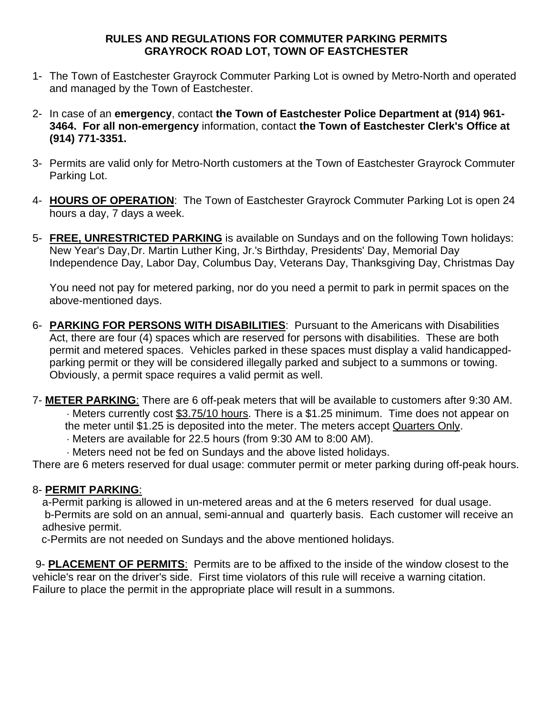## **RULES AND REGULATIONS FOR COMMUTER PARKING PERMITS GRAYROCK ROAD LOT, TOWN OF EASTCHESTER**

- 1- The Town of Eastchester Grayrock Commuter Parking Lot is owned by Metro-North and operated and managed by the Town of Eastchester.
- 2- In case of an **emergency**, contact **the Town of Eastchester Police Department at (914) 961- 3464. For all non-emergency** information, contact **the Town of Eastchester Clerk's Office at (914) 771-3351.**
- 3- Permits are valid only for Metro-North customers at the Town of Eastchester Grayrock Commuter Parking Lot.
- 4- **HOURS OF OPERATION**: The Town of Eastchester Grayrock Commuter Parking Lot is open 24 hours a day, 7 days a week.
- 5- **FREE, UNRESTRICTED PARKING** is available on Sundays and on the following Town holidays: New Year's Day, Dr. Martin Luther King, Jr.'s Birthday, Presidents' Day, Memorial Day Independence Day, Labor Day, Columbus Day, Veterans Day, Thanksgiving Day, Christmas Day

 You need not pay for metered parking, nor do you need a permit to park in permit spaces on the above-mentioned days.

- 6- **PARKING FOR PERSONS WITH DISABILITIES**: Pursuant to the Americans with Disabilities Act, there are four (4) spaces which are reserved for persons with disabilities. These are both permit and metered spaces. Vehicles parked in these spaces must display a valid handicappedparking permit or they will be considered illegally parked and subject to a summons or towing. Obviously, a permit space requires a valid permit as well.
- 7- **METER PARKING**: There are 6 off-peak meters that will be available to customers after 9:30 AM. Meters currently cost \$3.75/10 hours. There is a \$1.25 minimum. Time does not appear on the meter until \$1.25 is deposited into the meter. The meters accept Quarters Only.
	- Meters are available for 22.5 hours (from 9:30 AM to 8:00 AM).
	- Meters need not be fed on Sundays and the above listed holidays.

There are 6 meters reserved for dual usage: commuter permit or meter parking during off-peak hours.

## 8- **PERMIT PARKING**:

 a-Permit parking is allowed in un-metered areas and at the 6 meters reserved for dual usage. b-Permits are sold on an annual, semi-annual and quarterly basis. Each customer will receive an adhesive permit.

c-Permits are not needed on Sundays and the above mentioned holidays.

 9- **PLACEMENT OF PERMITS**: Permits are to be affixed to the inside of the window closest to the vehicle's rear on the driver's side. First time violators of this rule will receive a warning citation. Failure to place the permit in the appropriate place will result in a summons.